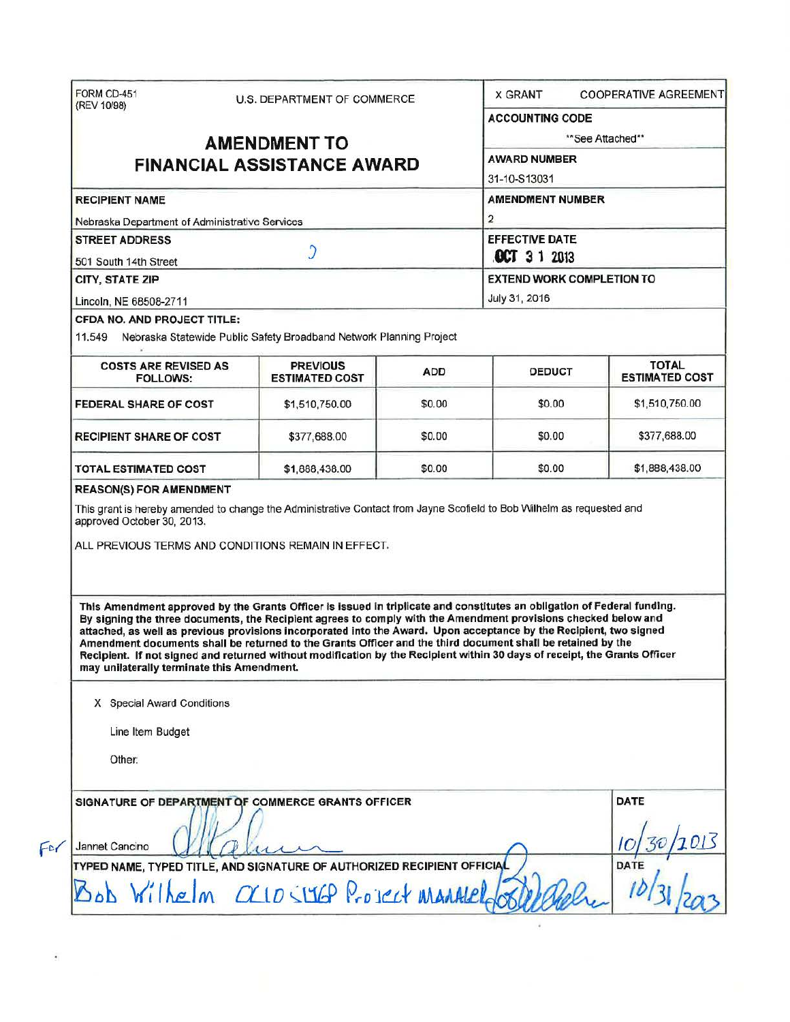| (REV 10/98)                                                                                                                                                                                                                                                                                                                                                                                                                                                                                                                                                                                                                                                                                                                                                                                                                                                                                                                       | U.S. DEPARTMENT OF COMMERCE              |            | <b>X GRANT</b><br><b>COOPERATIVE AGREEMENTI</b>                                  |                                       |  |                                              |                                                                     |  |               |  |
|-----------------------------------------------------------------------------------------------------------------------------------------------------------------------------------------------------------------------------------------------------------------------------------------------------------------------------------------------------------------------------------------------------------------------------------------------------------------------------------------------------------------------------------------------------------------------------------------------------------------------------------------------------------------------------------------------------------------------------------------------------------------------------------------------------------------------------------------------------------------------------------------------------------------------------------|------------------------------------------|------------|----------------------------------------------------------------------------------|---------------------------------------|--|----------------------------------------------|---------------------------------------------------------------------|--|---------------|--|
|                                                                                                                                                                                                                                                                                                                                                                                                                                                                                                                                                                                                                                                                                                                                                                                                                                                                                                                                   |                                          |            | <b>ACCOUNTING CODE</b>                                                           |                                       |  |                                              |                                                                     |  |               |  |
| <b>AMENDMENT TO</b>                                                                                                                                                                                                                                                                                                                                                                                                                                                                                                                                                                                                                                                                                                                                                                                                                                                                                                               |                                          |            | **See Attached**                                                                 |                                       |  |                                              |                                                                     |  |               |  |
|                                                                                                                                                                                                                                                                                                                                                                                                                                                                                                                                                                                                                                                                                                                                                                                                                                                                                                                                   | <b>FINANCIAL ASSISTANCE AWARD</b>        |            | <b>AWARD NUMBER</b>                                                              |                                       |  |                                              |                                                                     |  |               |  |
|                                                                                                                                                                                                                                                                                                                                                                                                                                                                                                                                                                                                                                                                                                                                                                                                                                                                                                                                   |                                          |            | 31-10-S13031                                                                     |                                       |  |                                              |                                                                     |  |               |  |
| <b>RECIPIENT NAME</b>                                                                                                                                                                                                                                                                                                                                                                                                                                                                                                                                                                                                                                                                                                                                                                                                                                                                                                             |                                          |            | <b>AMENDMENT NUMBER</b><br>2                                                     |                                       |  |                                              |                                                                     |  |               |  |
| Nebraska Department of Administrative Services                                                                                                                                                                                                                                                                                                                                                                                                                                                                                                                                                                                                                                                                                                                                                                                                                                                                                    |                                          |            |                                                                                  |                                       |  |                                              |                                                                     |  |               |  |
| <b>STREET ADDRESS</b><br>C<br>501 South 14th Street<br><b>CITY, STATE ZIP</b>                                                                                                                                                                                                                                                                                                                                                                                                                                                                                                                                                                                                                                                                                                                                                                                                                                                     |                                          |            | <b>EFFECTIVE DATE</b><br><b>OCT 3 1 2013</b><br><b>EXTEND WORK COMPLETION TO</b> |                                       |  |                                              |                                                                     |  |               |  |
|                                                                                                                                                                                                                                                                                                                                                                                                                                                                                                                                                                                                                                                                                                                                                                                                                                                                                                                                   |                                          |            |                                                                                  |                                       |  | Lincoln, NE 68508-2711                       |                                                                     |  | July 31, 2016 |  |
|                                                                                                                                                                                                                                                                                                                                                                                                                                                                                                                                                                                                                                                                                                                                                                                                                                                                                                                                   |                                          |            |                                                                                  |                                       |  | <b>CFDA NO. AND PROJECT TITLE:</b><br>11.549 | Nebraska Statewide Public Safety Broadband Network Planning Project |  |               |  |
| <b>COSTS ARE REVISED AS</b><br><b>FOLLOWS:</b>                                                                                                                                                                                                                                                                                                                                                                                                                                                                                                                                                                                                                                                                                                                                                                                                                                                                                    | <b>PREVIOUS</b><br><b>ESTIMATED COST</b> | <b>ADD</b> | <b>DEDUCT</b>                                                                    | <b>TOTAL</b><br><b>ESTIMATED COST</b> |  |                                              |                                                                     |  |               |  |
| <b>FEDERAL SHARE OF COST</b>                                                                                                                                                                                                                                                                                                                                                                                                                                                                                                                                                                                                                                                                                                                                                                                                                                                                                                      | \$1,510,750.00                           | \$0.00     | \$0.00                                                                           | \$1,510,750.00                        |  |                                              |                                                                     |  |               |  |
| <b>RECIPIENT SHARE OF COST</b>                                                                                                                                                                                                                                                                                                                                                                                                                                                                                                                                                                                                                                                                                                                                                                                                                                                                                                    | \$377,688.00                             | \$0.00     | \$0.00                                                                           | \$377,688.00                          |  |                                              |                                                                     |  |               |  |
|                                                                                                                                                                                                                                                                                                                                                                                                                                                                                                                                                                                                                                                                                                                                                                                                                                                                                                                                   |                                          |            |                                                                                  |                                       |  |                                              |                                                                     |  |               |  |
|                                                                                                                                                                                                                                                                                                                                                                                                                                                                                                                                                                                                                                                                                                                                                                                                                                                                                                                                   | \$1,888,438.00                           | \$0.00     | \$0.00                                                                           |                                       |  |                                              |                                                                     |  |               |  |
| TOTAL ESTIMATED COST<br><b>REASON(S) FOR AMENDMENT</b><br>This grant is hereby amended to change the Administrative Contact from Jayne Scofield to Bob Wilhelm as requested and<br>approved October 30, 2013.<br>ALL PREVIOUS TERMS AND CONDITIONS REMAIN IN EFFECT.<br>This Amendment approved by the Grants Officer is issued in triplicate and constitutes an obligation of Federal funding.<br>By signing the three documents, the Recipient agrees to comply with the Amendment provisions checked below and<br>attached, as well as previous provisions incorporated into the Award. Upon acceptance by the Recipient, two signed<br>Amendment documents shall be returned to the Grants Officer and the third document shall be retained by the<br>Recipient. If not signed and returned without modification by the Recipient within 30 days of receipt, the Grants Officer<br>may unilaterally terminate this Amendment. |                                          |            |                                                                                  | \$1,888,438.00                        |  |                                              |                                                                     |  |               |  |
| X Special Award Conditions                                                                                                                                                                                                                                                                                                                                                                                                                                                                                                                                                                                                                                                                                                                                                                                                                                                                                                        |                                          |            |                                                                                  |                                       |  |                                              |                                                                     |  |               |  |
| Line Item Budget                                                                                                                                                                                                                                                                                                                                                                                                                                                                                                                                                                                                                                                                                                                                                                                                                                                                                                                  |                                          |            |                                                                                  |                                       |  |                                              |                                                                     |  |               |  |
| Other:                                                                                                                                                                                                                                                                                                                                                                                                                                                                                                                                                                                                                                                                                                                                                                                                                                                                                                                            |                                          |            |                                                                                  |                                       |  |                                              |                                                                     |  |               |  |
| SIGNATURE OF DEPARTMENT OF COMMERCE GRANTS OFFICER                                                                                                                                                                                                                                                                                                                                                                                                                                                                                                                                                                                                                                                                                                                                                                                                                                                                                |                                          |            |                                                                                  | DATE                                  |  |                                              |                                                                     |  |               |  |
|                                                                                                                                                                                                                                                                                                                                                                                                                                                                                                                                                                                                                                                                                                                                                                                                                                                                                                                                   |                                          |            |                                                                                  |                                       |  |                                              |                                                                     |  |               |  |
| Jannet Cancino<br>TYPED NAME, TYPED TITLE, AND SIGNATURE OF AUTHORIZED RECIPIENT OFFICIAL                                                                                                                                                                                                                                                                                                                                                                                                                                                                                                                                                                                                                                                                                                                                                                                                                                         |                                          |            |                                                                                  | <b>DATE</b>                           |  |                                              |                                                                     |  |               |  |